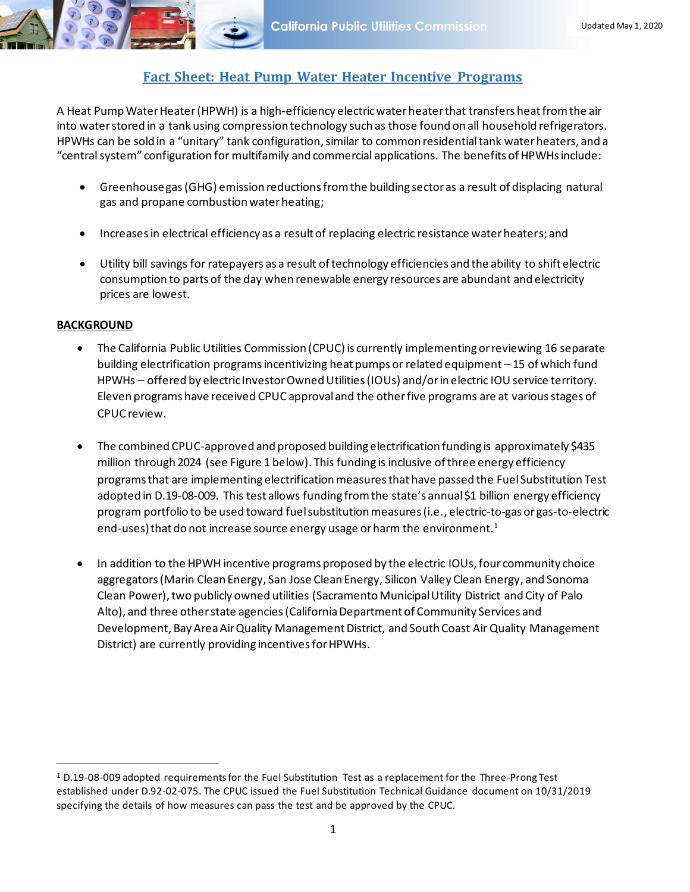## **Fact Sheet: Heat Pump Water Heater Incentive Programs**

A Heat Pump Water Heater (HPWH) is a high-efficiency electric water heater that transfers heat from the air into water stored in a tank using compression technology such as those found on all household refrigerators. HPWHs can be sold in a "unitary" tank configuration, similar to common residential tank water heaters, and a "central system" configuration for multifamily and commercial applications. The benefits of HPWHs include:

- Greenhouse gas (GHG) emission reductionsfrom the building sector as a result of displacing natural gas and propane combustion water heating;
- Increases in electrical efficiency as a result of replacing electric resistance water heaters; and
- Utility bill savings for ratepayers as a result of technology efficiencies and the ability to shift electric consumption to parts of the day when renewable energy resources are abundant and electricity prices are lowest.

## **BACKGROUND**

- The California Public Utilities Commission (CPUC) is currently implementing or reviewing 16 separate building electrification programs incentivizing heat pumps or related equipment – 15 of which fund HPWHs – offered by electric Investor Owned Utilities (IOUs) and/or in electric IOU service territory. Eleven programs have received CPUC approval and the other five programs are at various stages of CPUC review.
- The combined CPUC-approved and proposed building electrification funding is approximately \$435 million through 2024 (see Figure 1 below). This funding is inclusive of three energy efficiency programs that are implementing electrification measures that have passed the Fuel Substitution Test adopted in D.19-08-009. This test allows funding from the state's annual \$1 billion energy efficiency program portfolio to be used toward fuel substitution measures (i.e., electric-to-gas or gas-to-electric end-uses) that do not increase source energy usage or harm the environment.<sup>1</sup>
- In addition to the HPWH incentive programs proposed by the electric IOUs, four community choice aggregators (Marin Clean Energy, San Jose Clean Energy, Silicon Valley Clean Energy, and Sonoma Clean Power), two publicly owned utilities (Sacramento Municipal Utility District and City of Palo Alto), and three other state agencies(California Department of Community Services and Development, Bay Area Air Quality Management District, and South Coast Air Quality Management District) are currently providing incentives for HPWHs.

<sup>1</sup> D.19-08-009 adopted requirements for the Fuel Substitution Test as a replacement for the Three-Prong Test established under D.92-02-075. The CPUC issued the Fuel Substitution Technical Guidance document on 10/31/2019 specifying the details of how measures can pass the test and be approved by the CPUC.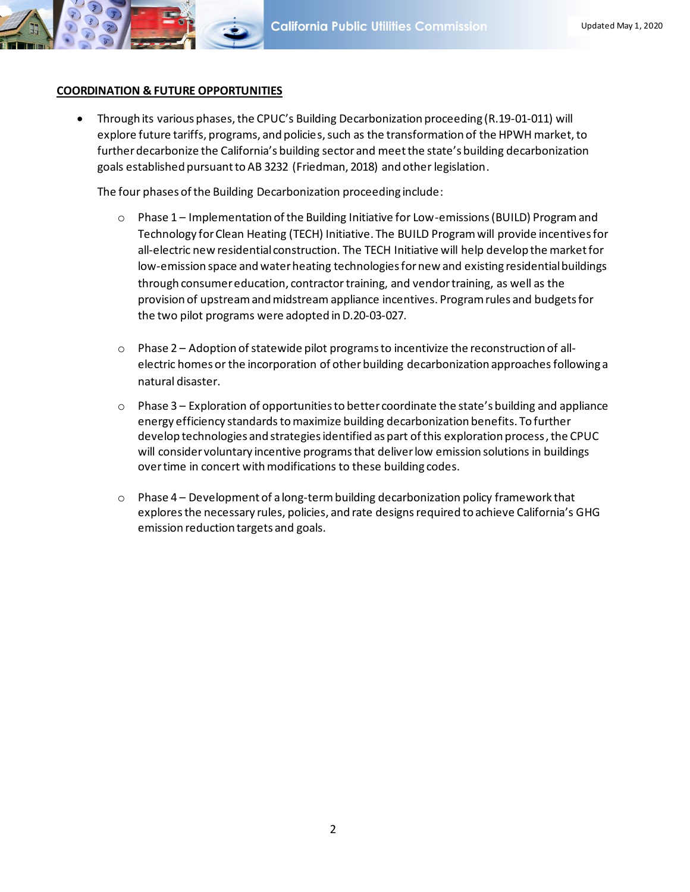

## **COORDINATION & FUTURE OPPORTUNITIES**

• Through its various phases, the CPUC's Building Decarbonization proceeding (R.19-01-011) will explore future tariffs, programs, and policies, such as the transformation of the HPWH market, to further decarbonize the California's building sector and meet the state's building decarbonization goals established pursuant to AB 3232 (Friedman, 2018) and other legislation.

The four phases of the Building Decarbonization proceeding include:

- $\circ$  Phase 1 Implementation of the Building Initiative for Low-emissions (BUILD) Program and Technology for Clean Heating (TECH) Initiative. The BUILD Program will provide incentives for all-electric new residential construction. The TECH Initiative will help develop the market for low-emission space and water heating technologies for new and existing residential buildings through consumer education, contractortraining, and vendor training, as well as the provision of upstream and midstream appliance incentives. Program rules and budgets for the two pilot programs were adopted in D.20-03-027.
- $\circ$  Phase 2 Adoption of statewide pilot programs to incentivize the reconstruction of allelectric homes or the incorporation of other building decarbonization approaches following a natural disaster.
- $\circ$  Phase 3 Exploration of opportunities to better coordinate the state's building and appliance energy efficiency standards to maximize building decarbonization benefits. To further develop technologies and strategies identified as part of this exploration process,the CPUC will consider voluntary incentive programs that deliver low emission solutions in buildings over time in concert with modifications to these building codes.
- $\circ$  Phase 4 Development of a long-term building decarbonization policy framework that exploresthe necessary rules, policies, and rate designs required to achieve California's GHG emission reduction targets and goals.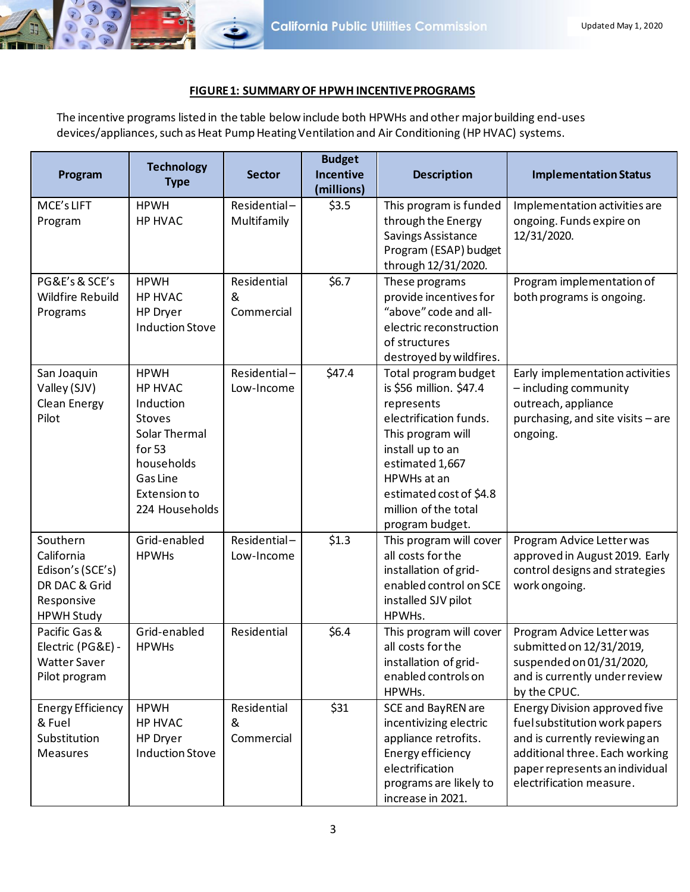

## **FIGURE 1: SUMMARY OF HPWH INCENTIVE PROGRAMS**

The incentive programs listed in the table below include both HPWHs and other major building end-uses devices/appliances, such as Heat Pump Heating Ventilation and Air Conditioning (HP HVAC) systems.

| Program                                                                                        | <b>Technology</b><br><b>Type</b>                                                                                                                          | <b>Sector</b>                  | <b>Budget</b><br><b>Incentive</b><br>(millions) | <b>Description</b>                                                                                                                                                                                                                       | <b>Implementation Status</b>                                                                                                                                                                           |
|------------------------------------------------------------------------------------------------|-----------------------------------------------------------------------------------------------------------------------------------------------------------|--------------------------------|-------------------------------------------------|------------------------------------------------------------------------------------------------------------------------------------------------------------------------------------------------------------------------------------------|--------------------------------------------------------------------------------------------------------------------------------------------------------------------------------------------------------|
| MCE's LIFT<br>Program                                                                          | <b>HPWH</b><br><b>HP HVAC</b>                                                                                                                             | Residential-<br>Multifamily    | \$3.5                                           | This program is funded<br>through the Energy<br>Savings Assistance<br>Program (ESAP) budget<br>through 12/31/2020.                                                                                                                       | Implementation activities are<br>ongoing. Funds expire on<br>12/31/2020.                                                                                                                               |
| PG&E's & SCE's<br><b>Wildfire Rebuild</b><br>Programs                                          | <b>HPWH</b><br>HP HVAC<br>HP Dryer<br><b>Induction Stove</b>                                                                                              | Residential<br>&<br>Commercial | \$6.7                                           | These programs<br>provide incentives for<br>"above" code and all-<br>electric reconstruction<br>of structures<br>destroyed by wildfires.                                                                                                 | Program implementation of<br>both programs is ongoing.                                                                                                                                                 |
| San Joaquin<br>Valley (SJV)<br>Clean Energy<br>Pilot                                           | <b>HPWH</b><br><b>HP HVAC</b><br>Induction<br><b>Stoves</b><br>Solar Thermal<br>for 53<br>households<br>Gas Line<br><b>Extension to</b><br>224 Households | Residential-<br>Low-Income     | \$47.4                                          | Total program budget<br>is \$56 million. \$47.4<br>represents<br>electrification funds.<br>This program will<br>install up to an<br>estimated 1,667<br>HPWHs at an<br>estimated cost of \$4.8<br>million of the total<br>program budget. | Early implementation activities<br>- including community<br>outreach, appliance<br>purchasing, and site visits - are<br>ongoing.                                                                       |
| Southern<br>California<br>Edison's (SCE's)<br>DR DAC & Grid<br>Responsive<br><b>HPWH Study</b> | Grid-enabled<br><b>HPWHs</b>                                                                                                                              | Residential-<br>Low-Income     | \$1.3                                           | This program will cover<br>all costs for the<br>installation of grid-<br>enabled control on SCE<br>installed SJV pilot<br>HPWHs.                                                                                                         | Program Advice Letter was<br>approved in August 2019. Early<br>control designs and strategies<br>work ongoing.                                                                                         |
| Pacific Gas &<br>Electric (PG&E) -<br><b>Watter Saver</b><br>Pilot program                     | Grid-enabled<br><b>HPWHs</b>                                                                                                                              | Residential                    | \$6.4                                           | This program will cover<br>all costs for the<br>installation of grid-<br>enabled controls on<br>HPWHs.                                                                                                                                   | Program Advice Letter was<br>submitted on 12/31/2019,<br>suspended on 01/31/2020,<br>and is currently under review<br>by the CPUC.                                                                     |
| <b>Energy Efficiency</b><br>& Fuel<br>Substitution<br><b>Measures</b>                          | <b>HPWH</b><br>HP HVAC<br>HP Dryer<br><b>Induction Stove</b>                                                                                              | Residential<br>&<br>Commercial | \$31                                            | <b>SCE and BayREN are</b><br>incentivizing electric<br>appliance retrofits.<br>Energy efficiency<br>electrification<br>programs are likely to<br>increase in 2021.                                                                       | <b>Energy Division approved five</b><br>fuel substitution work papers<br>and is currently reviewing an<br>additional three. Each working<br>paper represents an individual<br>electrification measure. |